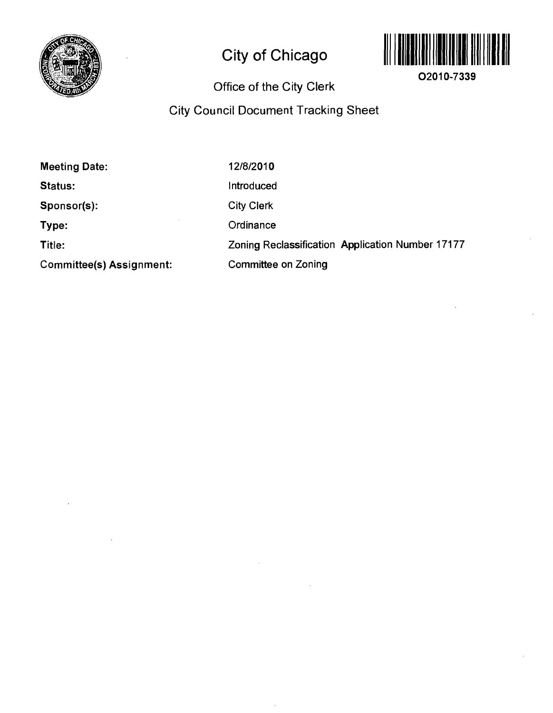

# **City of Chicago**



**02010-7339** 

# **Office of the City Clerk**

# **City Council Document Tracking Sheet**

| <b>Meeting Date:</b>            | 12/8/2010                                        |
|---------------------------------|--------------------------------------------------|
| <b>Status:</b>                  | <b>Introduced</b>                                |
| Sponsor(s):                     | <b>City Clerk</b>                                |
| Type:                           | Ordinance                                        |
| Title:                          | Zoning Reclassification Application Number 17177 |
| <b>Committee(s) Assignment:</b> | <b>Committee on Zoning</b>                       |

 $\lambda$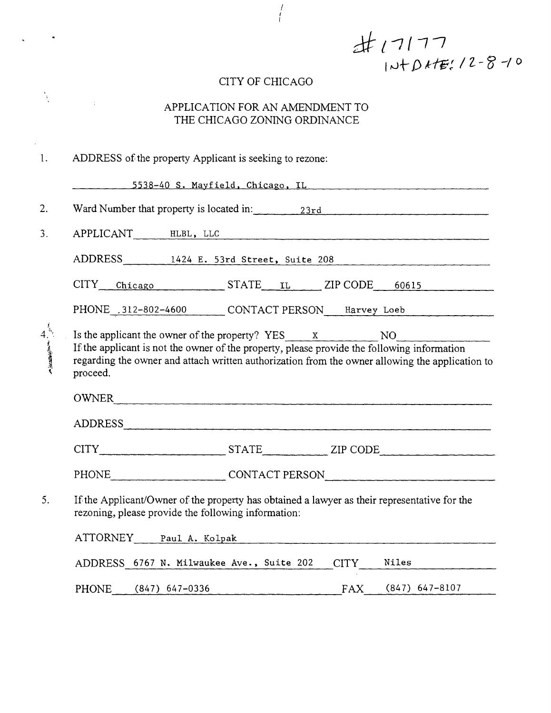$\pm$  17177<br>1N+D+t=: 12-8-10

# CITY OF CHICAGO

 $\frac{1}{2}$ 

 $\bar{z}$ 

 $\mathcal{A}^{\mathcal{A}}$ 

 $\begin{array}{c} I \\ I \end{array}$ 

# APPLICATION FOR AN AMENDMENT TO THE CHICAGO ZONING ORDINANCE

| $\mathbf{1}$ . | ADDRESS of the property Applicant is seeking to rezone:                                                                                                                                                                                                                  |
|----------------|--------------------------------------------------------------------------------------------------------------------------------------------------------------------------------------------------------------------------------------------------------------------------|
|                | <u>_______5538-40 S. Mayfield, Chicago, IL _______________________________</u>                                                                                                                                                                                           |
| 2.             | Ward Number that property is located in: 23rd 23rd                                                                                                                                                                                                                       |
| 3 <sub>1</sub> | APPLICANT HLBL, LLC                                                                                                                                                                                                                                                      |
|                | ADDRESS 1424 E. 53rd Street, Suite 208                                                                                                                                                                                                                                   |
|                | CITY Chicago STATE IL ZIP CODE 60615                                                                                                                                                                                                                                     |
|                | PHONE 312-802-4600 CONTACT PERSON Harvey Loeb                                                                                                                                                                                                                            |
| 4.14           | Is the applicant the owner of the property? $YES_ x$ NO NO<br>If the applicant is not the owner of the property, please provide the following information<br>regarding the owner and attach written authorization from the owner allowing the application to<br>proceed. |
|                | OWNER                                                                                                                                                                                                                                                                    |
|                | ADDRESS                                                                                                                                                                                                                                                                  |
|                |                                                                                                                                                                                                                                                                          |
|                | PHONE CONTACT PERSON                                                                                                                                                                                                                                                     |
| 5.             | If the Applicant/Owner of the property has obtained a lawyer as their representative for the<br>rezoning, please provide the following information:                                                                                                                      |
|                | ATTORNEY Paul A. Kolpak                                                                                                                                                                                                                                                  |
|                | ADDRESS 6767 N. Milwaukee Ave., Suite 202 CITY Niles                                                                                                                                                                                                                     |
|                | PHONE (847) 647-0336 FAX (847) 647-8107                                                                                                                                                                                                                                  |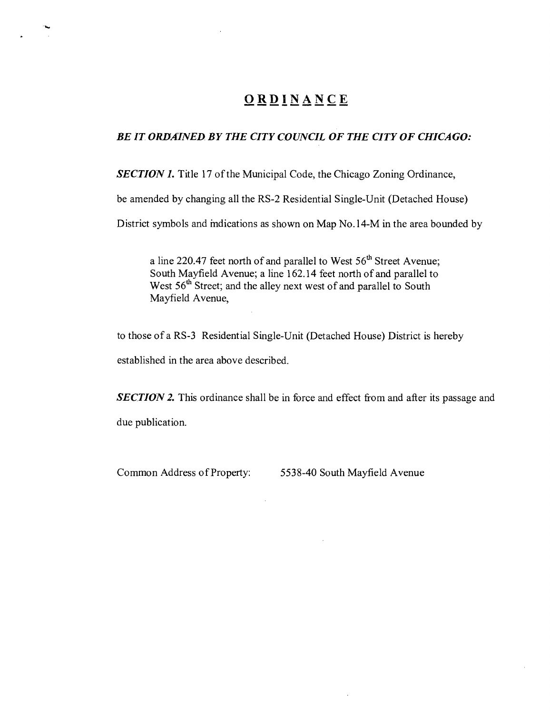# **ORDINANC E**

#### *BE IT ORDAINED BY THE CITY COUNCIL OF THE CITY OF CHICAGO:*

SECTION 1. Title 17 of the Municipal Code, the Chicago Zoning Ordinance,

be amended by changing all the RS-2 Residential Single-Unit (Detached House)

District symbols and mdications as shown on Map No.l4-M in the area bounded by

a line 220.47 feet north of and parallel to West 56<sup>th</sup> Street Avenue; South Mayfield Avenue; a line 162.14 feet north of and parallel to West 56<sup>th</sup> Street; and the alley next west of and parallel to South Mayfield Avenue,

to those of a RS-3 Residential Single-Unit (Detached House) District is hereby established in the area above described.

**SECTION 2.** This ordinance shall be in force and effect from and after its passage and due publication.

Common Address of Property: 5538-40 South Mayfield Avenue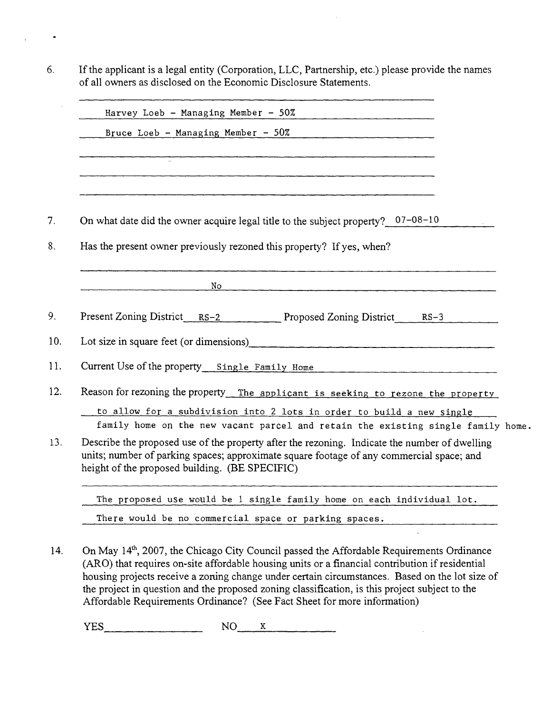6. If the applicant is a legal entity (Corporation, LLC, Partnership, etc.) please provide the names of all owners as disclosed on the Economic Disclosure Statements.

 $\bullet$ 

| Harvey Loeb - Managing Member - 50%<br><u> 1969 - Andrea Andrew Alexandria (</u>                                                                                                                                                            |
|---------------------------------------------------------------------------------------------------------------------------------------------------------------------------------------------------------------------------------------------|
| Bruce Loeb - Managing Member - $50\%$                                                                                                                                                                                                       |
| <u> 2002 - 2003 - 2003 - 2003 - 2003 - 2003 - 2004 - 2005 - 200</u>                                                                                                                                                                         |
|                                                                                                                                                                                                                                             |
|                                                                                                                                                                                                                                             |
|                                                                                                                                                                                                                                             |
| On what date did the owner acquire legal title to the subject property? $07-08-10$                                                                                                                                                          |
| Has the present owner previously rezoned this property? If yes, when?                                                                                                                                                                       |
|                                                                                                                                                                                                                                             |
| No.                                                                                                                                                                                                                                         |
| Present Zoning District RS-2 Proposed Zoning District RS-3                                                                                                                                                                                  |
|                                                                                                                                                                                                                                             |
| Current Use of the property Single Family Home                                                                                                                                                                                              |
| Reason for rezoning the property_ The applicant is seeking to rezone the property                                                                                                                                                           |
| to allow for a subdivision into 2 lots in order to build a new single                                                                                                                                                                       |
| family home on the new vacant parcel and retain the existing single family home.                                                                                                                                                            |
| Describe the proposed use of the property after the rezoning. Indicate the number of dwelling<br>units; number of parking spaces; approximate square footage of any commercial space; and<br>height of the proposed building. (BE SPECIFIC) |
| The proposed use would be 1 single family home on each individual lot.                                                                                                                                                                      |
| There would be no commercial space or parking spaces.                                                                                                                                                                                       |

14. On May 14\*, 2007, the Chicago City Council passed the Affordable Requirements Ordinance (ARO) that requires on-site affordable housing units or a financial contribution if residential housing projects receive a zorung change under certain circumstances. Based on the lot size of the project in question and the proposed zoning classification, is this project subject to the Affordable Requirements Ordinance? (See Fact Sheet for more information)

 $YES$   $NO$   $X$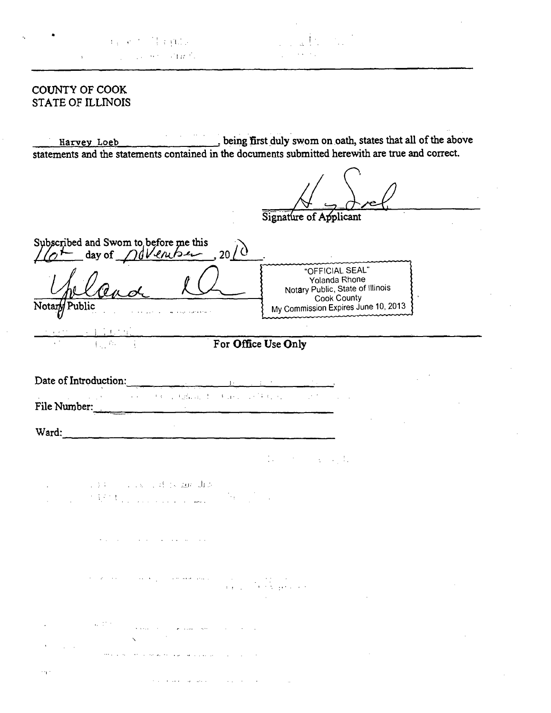|  |  |  | $A_{\rm eff}$ and $A_{\rm eff}$ is a ${\rm GL}_2$ |  |
|--|--|--|---------------------------------------------------|--|
|  |  |  | can be a completed with a contact for             |  |

#### COUNTY OF COOK STATE OF ILLINOIS

Harvey Loeb being first duly swom on oath, states that all of the above statements and the statements contained in the documents submitted herewith are true and correct.

Signature of Applicant Subscribed and Swom to before me this  $\lambda$  $1$ *(* $0$   $\sim$  day of *november* , 20 "OFFICIAL SEAL" Yolanda Rhone Notary Public, State of Illinois Cook County Notar*M* Public My Commission Expires June 10, 2013 **For Office Use Only**  Date of Introduction: <del>ng mga palawaysan na kal</del>awang ka File Number: Ward: Ward: Ward: Ward: Ward: Ward: Ward: Ward: Ward: Ward: Ward: Ward: Ward: Ward: Ward: Ward: Ward: Ward: Ward: Ward: Ward: Ward: Ward: Ward: Ward: Ward: Ward: Ward: Ward: Ward: Ward: Ward: Ward: Ward: Ward: Ward: Ward:  $\mathbb{R}^2$ 大学 医心包的 The man show that the most state of the and a state of

أأراد والمتعارض ومتروح وأوال

أأنتق المعايدات القدار العواقب المعادية المعاملة

**Contract Contract Service**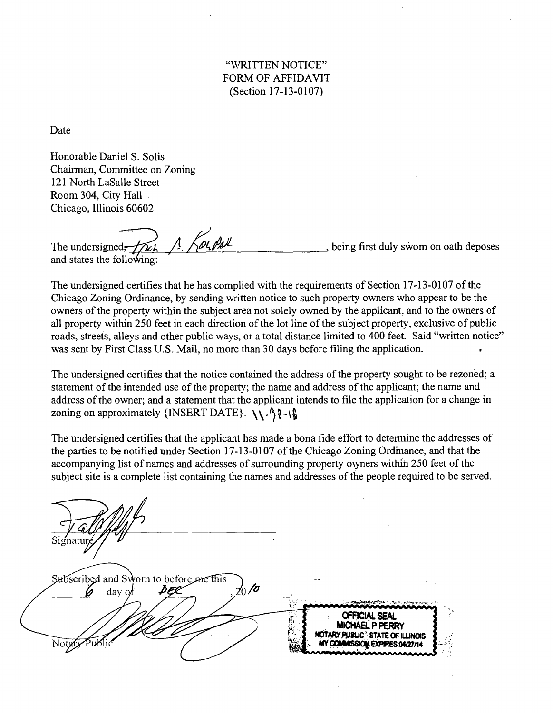"WRITTEN NOTICE" FORM OF AFFIDAVIT (Section 17-13-0107)

Date

Honorable Daniel S. Solis Chairman, Committee on Zoning 121 North LaSalle Street Room 304, City Hall Chicago, Illinois 60602

The undersigned,  $\sqrt{1 + \sqrt{\omega_1 \rho_2 \omega_1}}$ , being first duly swom on oath deposes and states the following:

The undersigned certifies that he has complied with the requirements of Section 17-13-0107 of the Chicago Zoning Ordinance, by sending written notice to such property owners who appear to be the owners of the property within the subject area not solely owned by the applicant, and to the owners of all property within 250 feet in each direction of the lot line of the subject property, exclusive of public roads, streets, alleys and other public ways, or a total distance limited to 400 feet. Said "written notice" was sent by First Class U.S. Mail, no more than 30 days before filing the application. .

The undersigned certifies that the notice contained the address of the property sought to be rezoned; a statement of the intended use of the property; the name and address of the applicant; the name and address of the owner; and a statement that the applicant intends to file the application for a change in zoning on approximately {INSERT DATE}.  $\setminus \setminus^2 \$ 

The undersigned certifies that the applicant has made a bona fide effort to determine the addresses of the parties to be notified under Section 17-13-0107 of the Chicago Zoning Ordinance, and that the accompanying list of names and addresses of surrounding property oven rs within 250 feet of the subject site is a complete list containing the names and addresses of the people required to be served.

Subscribed and Sworn to before me this  $\frac{1}{20}$ to DEC day of **OFFICIAL SEAL** MICHAEL P PERRY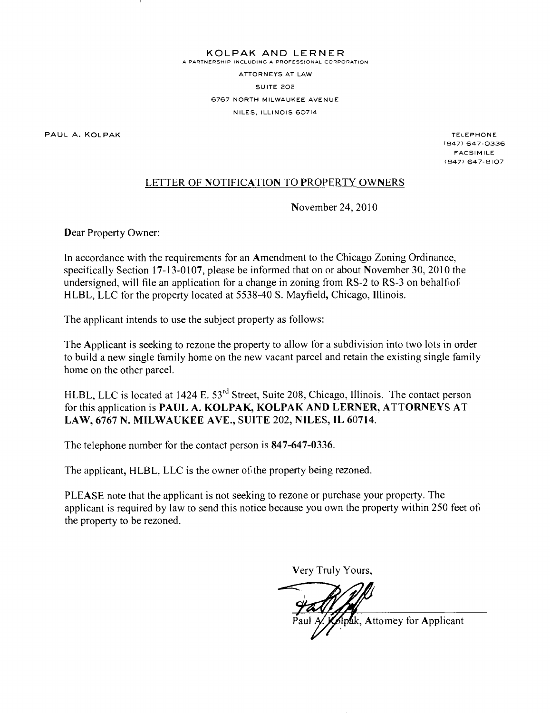**KOLPA K AN D LERNE R** 

A PARTNERSHIP INCLUDING A PROFESSIONAL CORPORATION

ATTORNEYS AT LAW SUITE 202 6767 NORTH MILWAUKEE AVENUE NILES, ILLINOIS 60714

PAUL A. KOLPAK TELEPHONE AND THE SERVICE OF THE SERVICE OF THE SERVICE OF THE SERVICE OF THE SERVICE OF THE SERVICE OF THE SERVICE OF THE SERVICE OF THE SERVICE OF THE SERVICE OF THE SERVICE OF THE SERVICE OF THE SERVICE O

(847) 647-0336 **FACSIMILE** (847) 647-8107

# LETTER OF NOTIFICATION TO PROPERTY OWNERS

November 24, 2010

Dear Property Owner:

In accordance with the requirements for an Amendment to the Chicago Zoning Ordinance, specifically Section 17-13-0107, please be informed that on or about November 30, 2010 the undersigned, will file an application for a change in zoning trom RS-2 to RS-3 on behalfof HLBL, LLC for the property located at 5538-40 S. Mayfield, Chicago, Illinois.

The applicant intends to use the subject property as follows:

The Applicant is seeking to rezone the property to allow for a subdivision into two lots in order to build a new single family home on the new vacant parcel and retain the existing single family home on the other parcel.

HLBL, LLC is located at 1424 E. 53<sup>rd</sup> Street, Suite 208, Chicago, Illinois. The contact person **for this application is PAUL A. KOLPAK, KOLPAK AND LERNER, ATTORNEYS AT LAW, 6767 N. MILWAUKEE AVE., SUITE 202, NILES, IL 60714.** 

**The telephone number for the contact person is 847-647-0336.** 

The applicant, HLBL, LLC is the owner of the property being rezoned.

PLEASE note that the applicant is not seeking to rezone or purchase your property. The applicant is required by law to send this notice because you own the property within 250 feet of the property to be rezoned.

Very Truly Yours,

pak, Attomey for Applicant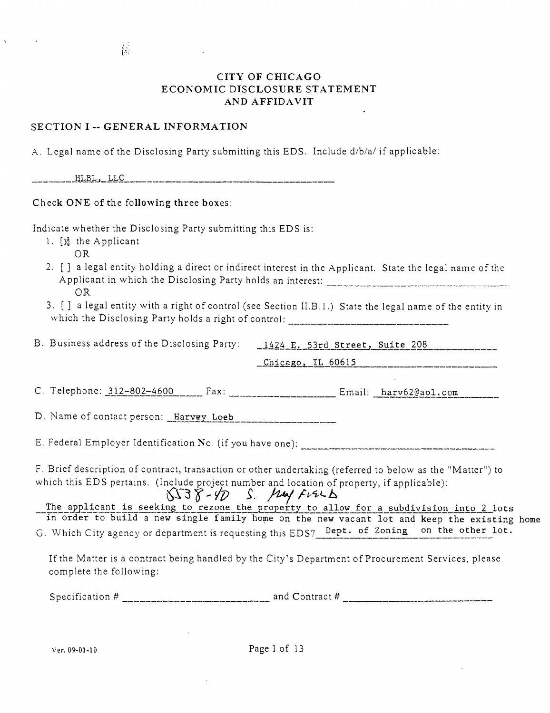#### CITY OF CHICAGO ECONOMIC DISCLOSURE STATEMENT AND AFFIDAVIT

#### SECTION I -- GENERAL INFORMATION

 $\frac{1}{\sqrt{2}}$ 

 $\Lambda$ . Legal name of the Disclosing Party submitting this EDS. Include  $d/b/a/$  if applicable:

HLBL, LLC

#### Check ONE of the following three boxes:

Indicate whether the Disclosing Party submitting this EDS is:

- 1. [x] the Applicant
	- OR
- 2. [ ] a legal entity holding a direct or indirect interest in the Applicant. State the legal name of the Applicant in which the Disclosing Party holds an interest: OR
- 3. [ ] a legal entity with a right of control (see Section II.B.l.) State the legal name of the entity in which the Disclosing Party holds a right of control:

B. Business address of the Disclosing Party: \_1424 E. 53rd Street, Suite 208 \_Chicago, IL 60615

C. Telephone:  $312-802-4600$  Fax:  $\frac{1}{2}\text{Ex}$ : Email:  $\frac{1}{2}\text{Ex}$ 

D. Name of contact person: Harvey Loeb

E. Federal Employer Identification No. (if you have one):

F. Brief description of contract, transaction or other undertaking (referred to below as the "Matter") to which this EDS pertains, (Include project number and location of property, if applicable):

 $\sqrt{38}$  /  $\sqrt{7}$   $\sqrt{2}$  /  $\sqrt{14}$   $\sqrt{14}$   $\sqrt{14}$   $\sqrt{14}$   $\sqrt{14}$   $\sqrt{14}$   $\sqrt{14}$   $\sqrt{14}$   $\sqrt{14}$   $\sqrt{14}$   $\sqrt{14}$   $\sqrt{14}$   $\sqrt{14}$   $\sqrt{14}$   $\sqrt{14}$   $\sqrt{14}$   $\sqrt{14}$   $\sqrt{14}$   $\sqrt{14}$   $\sqrt{14}$   $\sqrt{14}$   $\sqrt$ in order to build a new single family home on the new vacant lot and keep the existing home

G. Which City agency or department is requesting this EDS? Dept. of Zoning on the other lot.

If the Matter is a contract being handled by the City's Department of Procurement Services, please complete the following:

Specification # and Contract #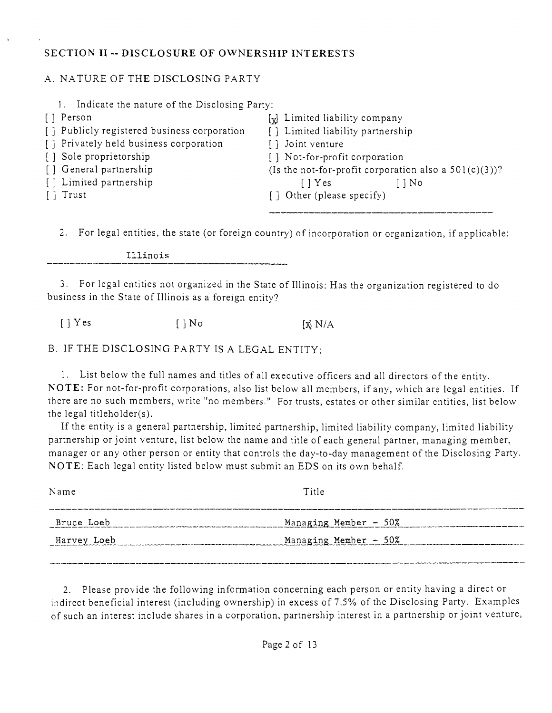# **SECTION II - DISCLOSURE OF OWNERSHIP INTERESTS**

# A. NATURE OF THE DISCLOSING PARTY

| Indicate the nature of the Disclosing Party: |                                                          |
|----------------------------------------------|----------------------------------------------------------|
| [] Person                                    | [x] Limited liability company                            |
| [] Publicly registered business corporation  | [] Limited liability partnership                         |
| [] Privately held business corporation       | [] Joint venture                                         |
| [] Sole proprietorship                       | [] Not-for-profit corporation                            |
| [] General partnership                       | (Is the not-for-profit corporation also a $501(c)(3)$ )? |
| [] Limited partnership                       | $\lceil \cdot \rceil$ Yes<br>$\lceil \cdot \rceil$ No    |
| $\lceil \cdot \rceil$ Trust                  | [] Other (please specify)                                |
|                                              |                                                          |
|                                              |                                                          |

2. For legal entities, the state (or foreign country) of incorporation or organization, if applicable:

Illinois

3. For legal entities not organized in the State of Illinois: Has the organization registered to do business in the State of Illinois as a foreign entity?

 $[\ ]$  Yes  $[\ ]$  No  $[\ ]$  N/A

B. IF THE DISCLOSING PARTY IS A LEGAL ENTITY:

1. List below the full names and titles of all executive officers and all directors of the entity, NOTE: For not-for-profit corporations, also list below all members, if any, which are legal entities. If there are no such members, write "no members." For trusts, estates or other similar entities, list below the legal titleholder(s),

If the entity is a general partnership, limited partnership, limited liability company, limited liability partnership or joint venture, list below the name and title of each general partner, managing member, manager or any other person or entity that controls the day-to-day management of the Disclosing Party. NOTE: Each legal entitv listed below must submit an EDS on its own behalf

2. Please provide the following information concerning each person or entity having a direct or indirect beneficial interest (including ownership) in excess of 7.5% of the Disclosing Party. Examples of such an interest include shares in a corporation, partnership interest in a partnership or joint venture,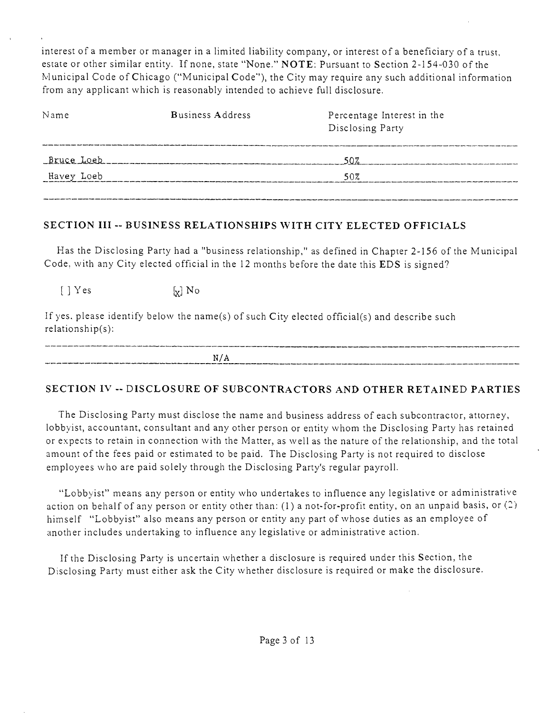interest of a member or manager in a limited liability company, or interest of a beneficiary of a trust, estate or other similar entity. If none, state "None." NOTE: Pursuant to Section 2-154-030 of the Municipal Code of Chicago ("Municipal Code"), the City may require any such additional information from any applicant which is reasonably intended to achieve full disclosure.

| Name       | <b>Business Address</b> | Percentage Interest in the<br>Disclosing Party |
|------------|-------------------------|------------------------------------------------|
| Bruce Loeb |                         | 50%                                            |
| Havey Loeb |                         | 50%                                            |
|            |                         |                                                |

## SECTION III -- BUSINESS RELATIONSHIPS WITH CITY ELECTED OFFICIALS

Has the Disclosing Party had a "business relationship," as defined in Chapter 2-156 of the Municipal Code, with any City elected official in the 12 months before the date this EDS is signed?

 $\begin{bmatrix} \end{bmatrix}$  Yes  $\begin{bmatrix} \mathbf{x} \end{bmatrix}$  No

If yes. please identify below the name(s) of such City elected official(s) and describe such relationship(s):

| N/A |                                                                                                                   |
|-----|-------------------------------------------------------------------------------------------------------------------|
|     | المسالا المستر المستر المسار المسار المسار بالمسار المتعرف والمتراث والمراكب المسار مستسر ومسار بسائد المرمود مست |

# **SECTION IV - DISCLOSURE OF SUBCONTRACTORS AND OTHER RETAINED PARTIES**

The Disclosing Party must disclose the name and business address of each subcontractor, attorney, lobbyist, accountant, consultant and any other person or entity whom the Disclosing Party has retained or expects to retain in connection with the Matter, as well as the nature of the relationship, and the total amount of the fees paid or estimated to be paid. The Disclosing Party is not required to disclose employees who are paid solely through the Disclosing Party's regular payroll.

"Lobbyist" means any person or entity who undertakes to influence any legislative or administrative action on behalf of any person or entity other than:  $(1)$  a not-for-profit entity, on an unpaid basis, or  $(2)$ himself "Lobbyist" also means any person or entity any part of whose duties as an employee of another includes undertaking to influence any legislative or administrative action.

If the Disclosing Party is uncertain whether a disclosure is required under this Section, the Disclosing Party must either ask the City whether disclosure is required or make the disclosure.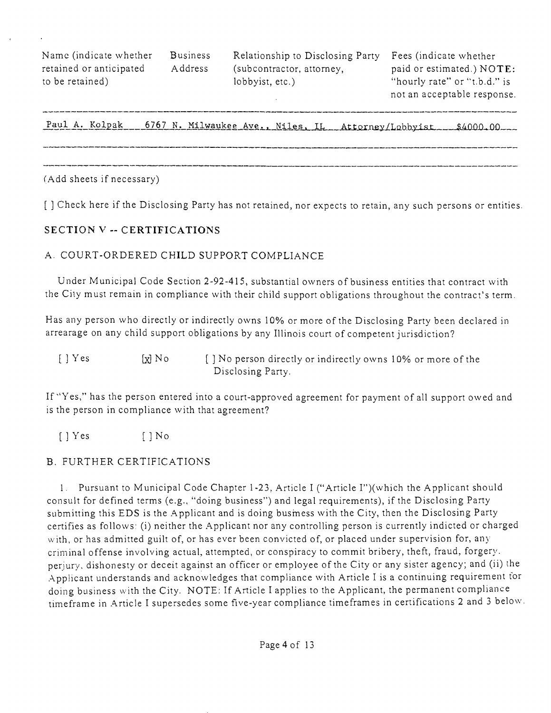Name (indicate whether Business Relationship to Disclosing Party Fees (indicate whether

retained or anticipated Address (subcontractor, attorney, paid or estimated.) NOTE: to be retained) lobbyist, etc.) "hourly rate" or "t.b.d." is

not an acceptable response.

Paul A. Kolpak \_\_ 6767 N. Milwaukee Ave., Niles, IL \_ Attorney/Lobbyist \_\_ \$4000.00

(Add sheets if necessary)

**[ ] Check here if the Disclosing Party has not retained, nor expects to retain, any such persons or entities.** 

#### **SECTION V - CERTIFICATIONS**

#### A. COURT-ORDERED CHILD SUPPORT COMPLIANCE

Under Municipal Code Section 2-92-415, substantial owners of business entities that contract with the Cily must remain in compliance with their child support obligations throughout the contract's term.

Has any person who directly or indirectly owns 10% or more of the Disclosing Party been declared in arrearage on any child support obligations by any Illinois court of competent jurisdiction?

| $\begin{bmatrix} \end{bmatrix}$ Yes | $[x]$ No | [] No person directly or indirectly owns 10% or more of the |
|-------------------------------------|----------|-------------------------------------------------------------|
|                                     |          | Disclosing Party.                                           |

If "Yes," has the person entered into a court-approved agreement for payment of all support owed and is the person in compliance with that agreement?

 $[ ]$  Yes  $[ ]$  No

## B, FURTHER CERTIFICATIONS

1. Pursuant to Municipal Code Chapter 1-23, Article I ("Article I")(which the Applicant should consult for defined terms (e.g., "doing business") and legal requirements), ifthe Disclosing Party submitting this EDS is the Applicant and is doing busmess with the City, then the Disclosing Party certifies as follows: (i) neither the Applicant nor any controlling person is currently indicted or charged with, or has admitted guilt of, or has ever been convicted of, or placed under supervision for, any criminal offense involving actual, attempted, or conspiracy to commit bribery, theft, fraud, forgery, perjury, dishonesty or deceit against an officer or employee of the City or any sister agency; and (ii) the Applicant understands and acknowledges that compliance with Article I is a continuing requirement for doing business with the City, NOTE: If Article I applies to the Applicant, the permanent compliance timeframe in Article I supersedes some five-year compliance timeframes in certifications 2 and 3 below.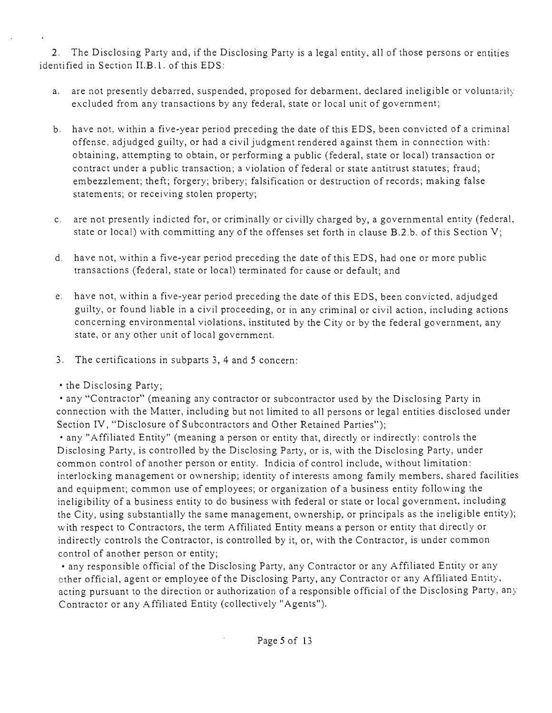2. The Disclosing Party and, if the Disclosing Party is a legal entity, all of those persons or entities identified in Section II,B,1, of this EDS:

- a. are not presently debarred, suspended, proposed for debarment, declared ineligible or voluntarily excluded from any transactions by any federal, state or local unit of government;
- b. have not, within a five-year period preceding the date of this EDS, been convicted of a criminal offense, adjudged guilty, or had a civil judgment rendered against them in connection with: obtaining, attempting to obtain, or performing a public (federal, state or local) transaction or contract under a public transaction; a violation of federal or state antitrust statutes; fraud; embezzlement; theft; forgery; bribery; falsification or destruction of records; making false statements; or receiving stolen property;
- c. are not presently indicted for, or criminally or civilly charged by, a governmental entity (federal, state or local) with committing any of the offenses set forth in clause B,2.b, of this Section V;
- d. have not, within a five-year period preceding the date ofthis EDS, had one or more public transactions (federal, state or local) terminated for cause or default; and
- e. have not, within a five-year period preceding the date of this EDS, been convicted, adjudged guilty, or found liable in a civil proceeding, or in any criminal or civil action, including actions concerning environmental violations, instituted by the City or by the federal government, any state, or any other unit of local government,
- 3. The certifications in subparts 3, 4 and 5 concern:
- the Disclosing Party;

• any "Contractor" (meaning any contractor or subcontractor used by the Disclosing Party in connection with the Matter, including but not limited to all persons or legal entities disclosed under Section IV, "Disclosure of Subcontractors and Other Retained Parties");

• any "Affiliated Entity" (meaning a person or entity that, directly or indirectly: controls the Disclosing Party, is controlled by the Disclosing Party, or is, with the Disclosing Party, under common control of another person or entity. Indicia of control include, without limitation: interlocking management or ownership; identity of interests among family members, shared facilities and equipment; common use of employees; or organization of a business entity following the ineligibility of a business entity to do business with federal or state or local government, including the City, using substantially the same management, ownership, or principals as the ineligible entity); with respect to Contractors, the term Affiliated Entity means a person or entity that directly or indirectly controls the Contractor, is controlled by it, or, with the Contractor, is under common control of another person or entity;

• any responsible official of the Disclosing Party, any Contractor or any Affiliated Entity or any ether official, agent or employee ofthe Disclosing Party, any Contractor or any Affiliated Entity, acting pursuant to the direction or authorization of a responsible official of the Disclosing Party, any Contractor or any Affiliated Entity (collectively "Agents").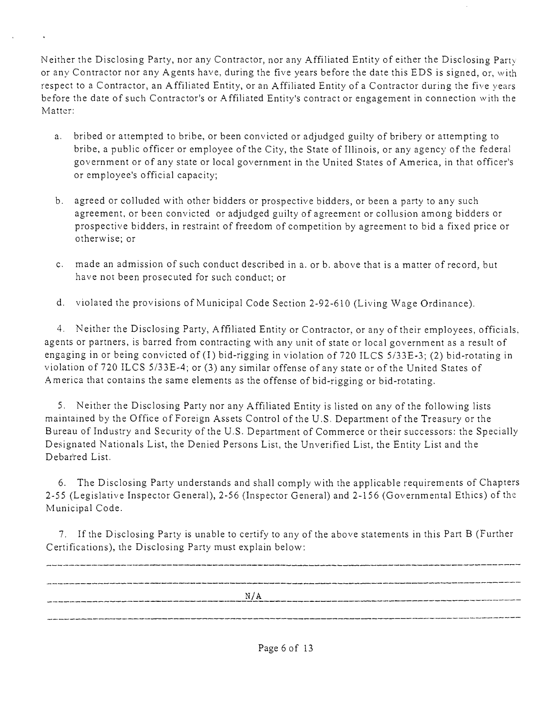Neither the Disclosing Party, nor any Contractor, nor any Affiliated Entity of either the Disclosing Party or any Contractor nor any Agents have, during the five years before the date this EDS is signed, or, with respect to a Contractor, an Affiliated Entity, or an Affiliated Entity of a Contractor during the five years before the date of such Contractor's or Affiliated Entity's contract or engagement in connection with the Matter:

- a. bribed or attempted to bribe, or been convicted or adjudged guilty of bribery or attempting to bribe, a public officer or employee of the City, the State of Illinois, or any agency of the federal government or of any state or local government in the United States of America, in that officer's or employee's official capacity;
- b. agreed or colluded with other bidders or prospective bidders, or been a party to any such agreement, or been convicted or adjudged guilty of agreement or collusion among bidders or prospective bidders, in restraint of freedom of competition by agreement to bid a fixed price or otherwise; or
- **c.** made an admission of such conduct described in a. or b. above that is a matter of record, but have not been prosecuted for such conduct; or
- d. violated the provisions of Municipal Code Section 2-92-610 (Living Wage Ordinance).

4. Neither the Disclosing Party, Affiliated Entity or Contractor, or any of their employees, officials, agents or partners, is barred from contracting with any unit of state or local government as a result of engaging in or being convicted of (I) bid-rigging in violation of 720 ILCS 5/33E-3; (2) bid-rotating in violation of 720 ILCS 5/33E-4; or (3) any similar offense of any state or of the United States of .America that contains the same elements as the offense of bid-rigging or bid-rotating,

5. Neither the Disclosing Party nor any Affiliated Entity is listed on any of the following lists maintained by the Office of Foreign Assets Control ofthe U.S. Department of the Treasury or the Bureau of Industry and Security of the U.S. Department of Commerce or their successors: the Specially Designated Nationals List, the Denied Persons List, the Unverified List, the Entity List and the Debarred List.

6. The Disclosing Party understands and shall comply with the applicable requirements of Chapters 2-55 (Legislative Inspector General), 2-56 (Inspector General) and 2-156 (Governmental Ethics) of the Municipal Code.

7. If the Disclosing Party is unable to certify to any of the above statements in this Part B (Further Certifications), the Disclosing Party must explain below:

| N/A |  |
|-----|--|
|     |  |
|     |  |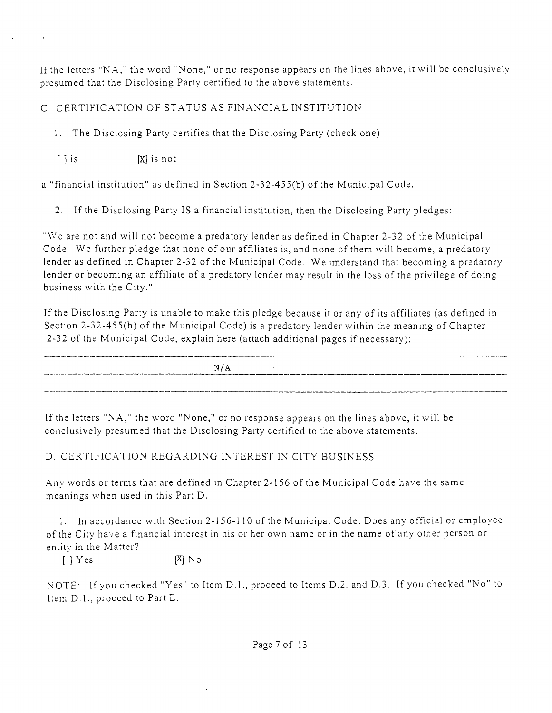If the letters "NA," the word "None," or no response appears on the lines above, it will be conclusively presumed that the Disclosing Party certified to the above statements.

C. CERTIFICATION OF STATUS AS FINANCIAL INSTITUTION

1. The Disclosing Party certifies that the Disclosing Party (check one)

 $[ \ ]$  is  $[X]$  is not

a "financial institution" as defined in Section 2-32-455(b) of the Municipal Code,

2. If the Disclosing Party IS a financial institution, then the Disclosing Party pledges:

"\Vc are not and will not become a predatory lender as defined in Chapter 2-32 of the Municipal Code. We further pledge that none of our affiliates is, and none of them will become, a predatory lender as defined in Chapter 2-32 of the Municipal Code. We imderstand that becoming a predatory lender or becoming an affiliate of a predatory lender may result in the loss of the privilege of doing business with the City."

If the Disclosing Party is unable to make this pledge because it or any of its affiliates (as defined in Section 2-32-455(b) of the Municipal Code) is a predatory lender within the meaning of Chapter 2-32 of the Municipal Code, explain here (attach additional pages if necessary):

N/A

If the letters "NA, " the word "None," or no response appears on the lines above, it will be conclusively presumed that the Disclosing Party certified to the above statements.

# D. CERTIFICATION REGARDING INTEREST IN CITY BUSINESS

.A.ny words or terms that are defined in Chapter 2-156 of the Municipal Code have the same meanings when used in this Part D.

I. In accordance with Section 2-156-110 of the Municipal Code: Does any official or employee of the City have a financial interest in his or her own name or in the name of any other person or entity in the Matter?

 $[$   $]$   $Y$  es  $[X]$   $N<sub>o</sub>$ 

NOTE: If you checked "Yes" to Item D.l. , proceed to Items D,2, and D.3. If you checked "No" to Item D.1., proceed to Part E.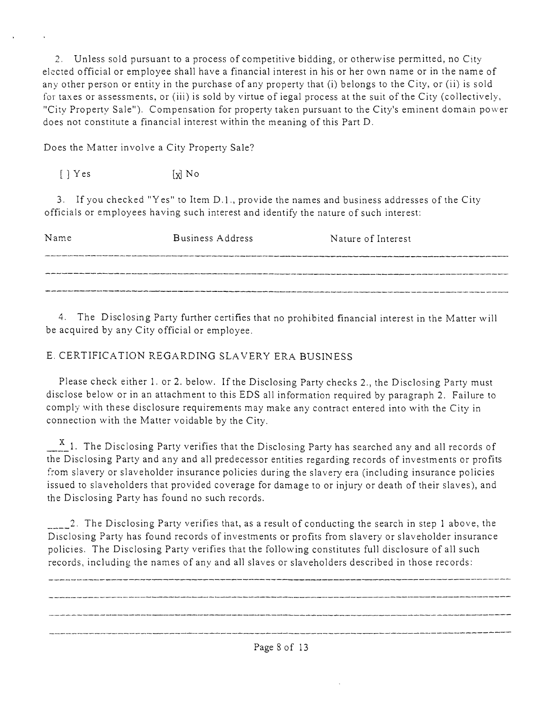2. Unless sold pursuant to a process of competitive bidding, or otherwise permitted, no City elected official or employee shall have a financial interest in his or her own name or in the name of any other person or entity in the purchase of any property that (i) belongs to the City, or (ii) is sold for taxes or assessments, or (iii) is sold by virtue of iegal process at the suit of the City (collectively, "City Property Sale"). Compensation for property taken pursuant to the City's eminent domain power does not constitute a financial interest within the meaning of this Part D.

Does the Matter involve a City Property Sale?

 $[\ ]$  Yes  $[\ ]$  No

3. If you checked "Yes" to Item D.l. , provide the names and business addresses of the City officials or employees having such interest and identify the nature of such interest:

| Name | Business Address                                                                                               | Nature of Interest |
|------|----------------------------------------------------------------------------------------------------------------|--------------------|
|      |                                                                                                                |                    |
|      | , dans als de la component amb de la component amb de la component de la component de la component de la compo |                    |

4. The Disclosing Party further certifies that no prohibited financial interest in the Matter will be acquired by any City official or employee.

# E. CERTIFICATION REGARDING SLAVERY ERA BUSINESS

Please check either 1. or 2, below. If the Disclosing Party checks 2., the Disclosing Party must disclose below or in an attachment to this EDS all information required by paragraph 2, Failure to comply with these disclosure requirements may make any contract entered into with the City in connection with the Matter voidable by the City.

 $\frac{X}{A}$  1. The Disclosing Party verifies that the Disclosing Party has searched any and all records of the Disclosing Party and any and all predecessor entities regarding records of investments or profits from slavery or slaveholder insurance policies during the slavery era (including insurance policies issued to slaveholders that provided coverage for damage to or injury or death of their slaves), and the Disclosing Party has found no such records.

 $\sim$  2. The Disclosing Party verifies that, as a result of conducting the search in step 1 above, the Disclosing Party has found records of investments or profits from slavery or slaveholder insurance policies. The Disclosing Party verifies that the following constitutes full disclosure of all such records, including the names of anv and all slaves or slaveholders described in those records: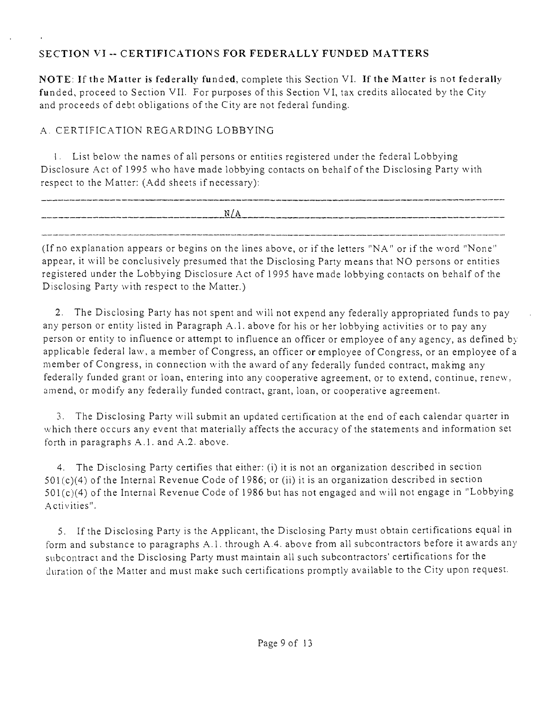# **SECTION VI - CERTIFICATIONS FOR FEDERALLY FUNDED MATTERS**

NOTE: If the Matter is federally funded, complete this Section VI. If the Matter is not federally funded, proceed to Section VII. For purposes of this Section VI, tax credits allocated by the City and proceeds of debt obligations of the City are not federal funding,

# A. CERTIFICATION REGARDING LOBBYING

1, List below the names of all persons or entities registered under the federal Lobbying Disclosure Act of 1995 who have made lobbying contacts on behalfof the Disclosing Party with respect to the Matter: (Add sheets if necessary):

| _________________ | ______ |
|-------------------|--------|
| N/<br>N/A         |        |
|                   |        |

(Ifno explanation appears or begins on the lines above, or if the letters "NA" or if the word "None" appear, it will be conclusively presumed that the Disclosing Party means that NO persons or entities registered under the Lobbying Disclosure Act of 1 995 have made lobbying contacts on behalf of the Disclosing Party with respect to the Matter.)

2. The Disclosing Party has not spent and will not expend any federally appropriated funds to pay any person or entity listed in Paragraph A.l , above for his or her lobbying activities or to pay any person or entity to influence or attempt to influence an officer or employee of any agency, as defined by applicable federal law, a member of Congress, an officer or employee of Congress, or an employee of a member of Congress, in connection with the award of any federally funded contract, makmg any federally funded grant or loan, entering into any cooperative agreement, or to extend, continue, renew, amend, or modify any federally funded contract, grant, loan, or cooperative agreement,

3. The Disclosing Party will submit an updated certification at the end of each calendar quarter in which there occurs any event that materially affects the accuracy of the statements and information set forth in paragraphs  $A.1$ , and  $A.2$ , above.

4. The Disclosing Party certifies that either: (i) it is not an organization described in section  $501(c)(4)$  of the Internal Revenue Code of 1986; or (ii) it is an organization described in section 501(c)(4) of the Internal Revenue Code of 1986 but has not engaged and will not engage in "Lobbying .A ctivities".

5. If the Disclosing Party is the Applicant, the Disclosing Party must obtain certifications equal in form and substance to paragraphs A.1. through A.4, above from all subcontractors before it awards any subcontract and the Disclosing Party must maintain all such subcontractors' certifications for the duration ofthe Matter and must make such certifications promptly available to the City upon request.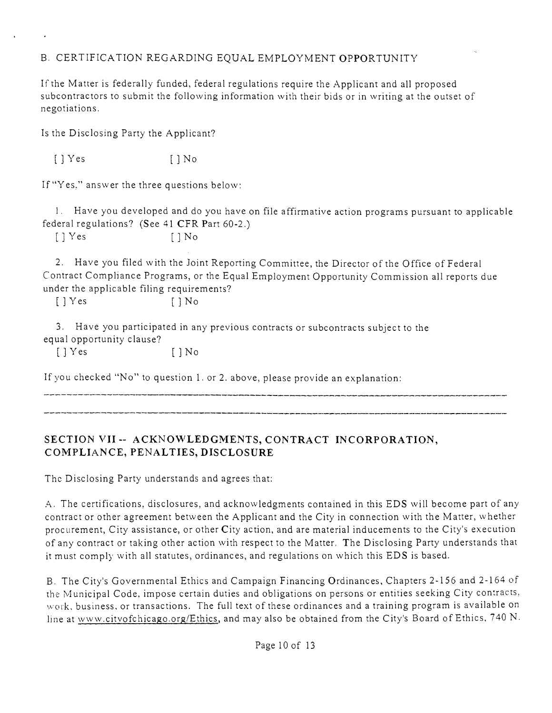# B. CERTIFICATION REGARDING EQUAL EMPLOYMENT OPPORTUNITY

If the Matter is federally funded, federal regulations require the Applicant and all proposed subcontractors to submit the following information with their bids or in writing at the outset of negotiations.

Is the Disclosing Party the Applicant?

[] Yes [] No

If "Yes," answer the three questions below:

1. Have you developed and do you have on file affirmative action programs pursuant to applicable federal regulations? (See 41 CFR Part 60-2.)

 $[$   $]$   $Y$ es  $[$   $]$   $N$ o

2. Have you filed with the Joint Reporting Committee, the Director of the Office of Federal Contract Compliance Programs, or the Equal Employment Opportunity Commission all reports due under the applicable filing requirements?

 $[$   $]$   $Y$  es  $[$   $]$   $N$  o

3. Have you participated in any previous contracts or subcontracts subject to the equal opportunity clause?

 $[$   $]$   $Y$  es  $[$   $]$   $N$  o

If you checked "No" to question 1. or 2. above, please provide an explanation:

# **SECTION VII - ACKNOWLEDGMENTS, CONTRACT INCORPORATION, COMPLIANCE, PENALTIES, DISCLOSURE**

The Disclosing Party understands and agrees that:

A. The certifications, disclosures, and acknowledgments contained in this EDS will become part of any contract or other agreement between the Applicant and the City in connection with the Matter, whether procurement, City assistance, or other City action, and are material inducements to the City's execution ofany contract or taking other action with respect to the Matter. The Disclosing Party understands that it must comply with all statutes, ordinances, and regulations on which this EDS is based.

B. The City's Governmental Ethics and Campaign Financing Ordinances, Chapters 2-156 and 2-164 of the Municipal Code, impose certain duties and obligations on persons or entities seeking City contracts, work, business, or transactions. The full text of these ordinances and a training program is available on line at www.citvofchicago.org/Ethics, and may also be obtained from the City's Board of Ethics, 740 N.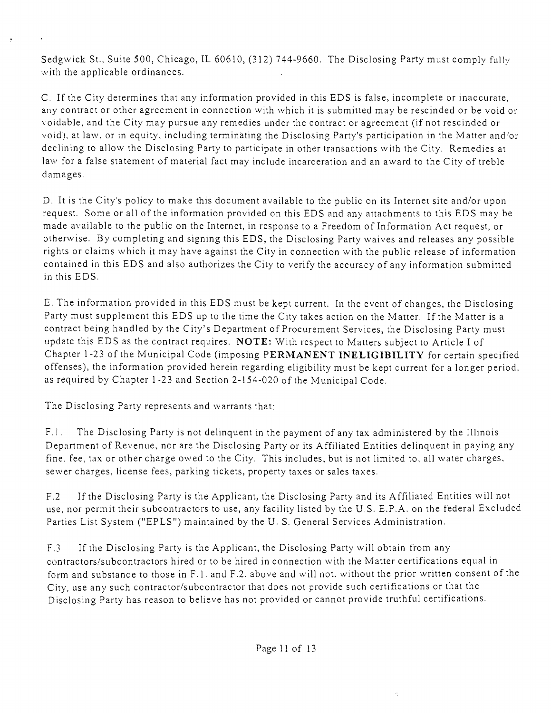Sedgwick St., Suite 500, Chicago, IL 60610, (312) 744-9660, The Disclosing Party must comply fully with the applicable ordinances.

C. If the City determines that any information provided in this EDS is false, incomplete or inaccurate, any contract or other agreement in connection with which it is submitted may be rescinded or be void or voidable, and the City may pursue any remedies under the contract or agreement (if not rescinded or void), at law, or in equity, including terminating the Disclosing Party's participation in the Matter and/or declining to allow the Disclosing Party to participate in other transactions with the City. Remedies at law for a false statement of material fact may include incarceration and an award to the City of treble damages.

D. It is the City's policy to make this document available to the public on its Internet site and/or upon request. Some or all of the information provided on this EDS and any attachments to this EDS may be made available to the public on the Internet, in response to a Freedom of Information Act request, or otherwise. By completing and signing this EDS, the Disclosing Party waives and releases any possible rights or claims which it may have against the City in connection with the public release of information contained in this EDS and also authorizes the City to verify the accuracy of any information submitted in this EDS.

E. The information provided in this EDS must be kept current. In the event of changes, the Disclosing Party must supplement this EDS up to the time the City takes action on the Matter. Ifthe Matter is a contract being handled by the City's Department of Procurement Services, the Disclosing Party must update this EDS as the contract requires. NOTE: With respect to Matters subject to Article I of Chapter 1-23 of the Municipal Code (imposing PERMANENT INELIGIBILITY for certain specified offenses), the information provided herein regarding eligibility must be kept current for a longer period, as required by Chapter 1-23 and Section 2-154-020 of the Municipal Code.

The Disclosing Party represents and warrants that:

F. I. The Disclosing Party is not delinquent in the payment of any tax administered by the Illinois Department of Revenue, nor are the Disclosing Party or its Affiliated Entities delinquent in paying any fine, fee, tax or other charge owed to the City. This includes, but is not limited to, all water charges, sewer charges, license fees, parking tickets, property taxes or sales taxes.

F.2 If the Disclosing Party is the Applicant, the Disclosing Party and its Affiliated Entities will not use, nor permit their subcontractors to use, any facility listed by the U.S. E.P.A. on the federal Excluded Parties List System ("EPLS") maintained by the U.S. General Services Administration.

F.3 If the Disclosing Party is the Applicant, the Disclosing Party will obtain from any contractors/subcontractors hired or to be hired in connection with the Matter certifications equal in form and substance to those in F.l . and F.2. above and will not. without the prior written consent of the City, use any such contractor/subcontractor that does not provide such certifications or that the Disclosing Party has reason to believe has not provided or cannot provide truthful certifications.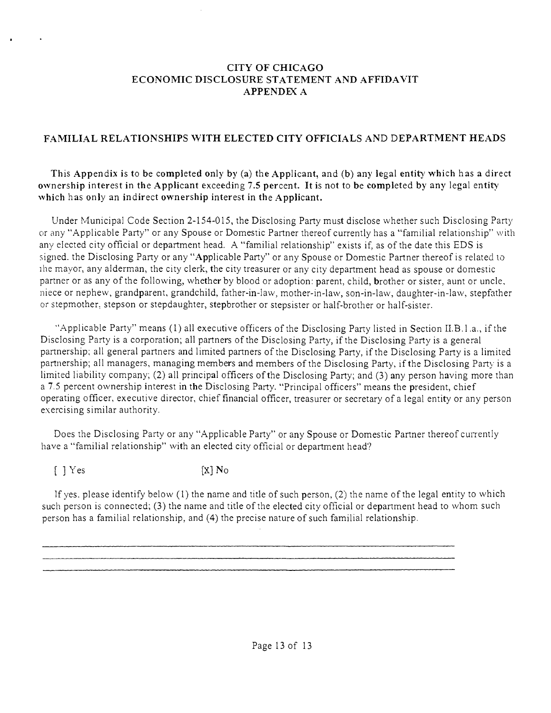#### **CITY OF CHICAGO ECONOMIC DISCLOSURE STATEMENT AND AFFIDAVIT APPENDEX A**

# **FAMILIAL RELATIONSHIPS WITH ELECTED CITY OFFICIALS AND DEPARTMENT HEADS**

**This Appendix is to be completed only by (a) the Applicant, and (b) any legal entity which has a direct ow nership interest in the Applicant exceeding 7.5 percent. It is not to be completed by any legal entity' which has only an indirect ownership interest in the Applicant.** 

Under Municipal Code Section 2-154-015, the Disclosing Party must disclose whether such Disclosing Party or any "Applicable Party" or any Spouse or Domestic Partner thereof currently has a "familial relationship" with any elected city official or department head. A "familial relationship" exists if, as ofthe date this EDS is signed, the Disclosing Pany or any "Applicable Party" or any Spouse or Domestic Partner thereof is related lo ihe mayor, any alderman, the city clerk, the city treasurer or any city department head as spouse or domestic partner or as any of the following, whether by blood or adoption: parent, child, brother or sister, aunt or uncle, niece or nephew, grandparent, grandchild, father-in-law, mother-in-law, son-in-law, daughter-in-law, stepfather or stepmother, stepson or stepdaughter, stepbrother or stepsister or half-brother or half-sister.

".Applicable Party" means (1) all executive officers of the Disclosing Pany listed in Section U.B.l.a., if the Disclosing Party is a corporation; all partners of the Disclosing Party, if the Disclosing Party is a general partnership; all general partners and limited partners of the Disclosing Party, if the Disclosing Party is a limited partnership; all managers, managing members and members of the Disclosing Party, if the Disclosing Pany is a limited liability company; (2) all principal officers of the Disclosing Party; and (3) any person having more than a 7.5 percent ownership interest in the Disclosing Party, "Principal officers" means the president, chief operating officer, executive director, chief financial officer, treasurer or secretary of a legal entity or any person exercising similar authority.

Does the Disclosing Party or any "Applicable Party" or any Spouse or Domestic Partner thereof currently have a "familial relationship" with an elected city official or department head?

 $[$   $]$   $\text{Yes}$   $[X]$   $\text{No}$ 

If yes. please identify below (1) the name and tide of such person, (2) the name of the legal entity to which such person is connected; (3) the name and title of the elected city official or department head to whom such person has a familial relationship, and (4) the precise nature of such familial relationship.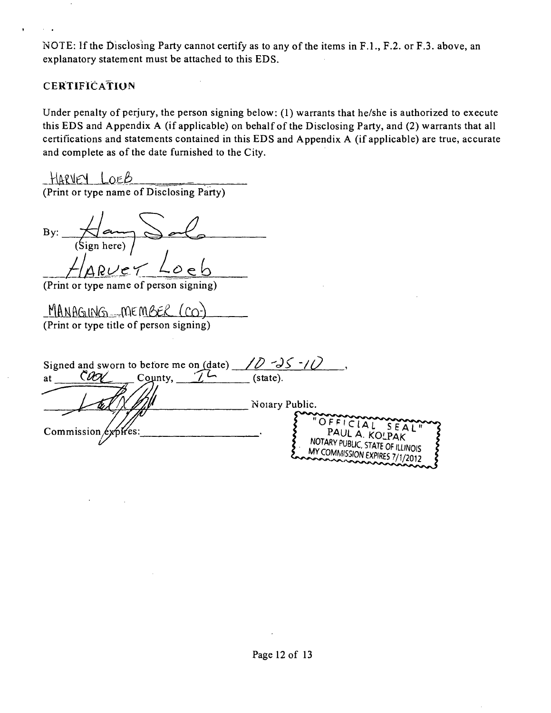NOTE: If the Disclosing Party cannot certify as to any of the items in F.L, F.2. or F.3. above, an explanatory statement must be attached to this EDS.

#### **CERTIFICATION**

Under penalty of perjury, the person signing below: (1) warrants that he/she is authorized to execute this EDS and Appendix A (if applicable) on behalf ofthe Disclosing Party, and (2) warrants that all certifications and statements contained in this EDS and Appendix A (if applicable) are true, accurate and complete as of the date furnished to the City.

HARVEY LOEB (Print or type name of Disclosing Party)

By: (Sign here)

(Print or type name of person signing)

*\_flMBa.LNiii\_..pae met (cc))*  (Print or type title of person signing)

| Signed and sworn to before me on (date) |                                                    |
|-----------------------------------------|----------------------------------------------------|
| County,<br>at                           | (state).                                           |
|                                         |                                                    |
|                                         | Notary Public.                                     |
|                                         | "OFFICIAL SEAL"                                    |
| Commission $\exp$ fres:                 | PAUL A. KOLPAK<br>NOTARY PUBLIC, STATE OF ILLINOIS |
|                                         | MY COMMISSION EXPIRES 7/1/2012                     |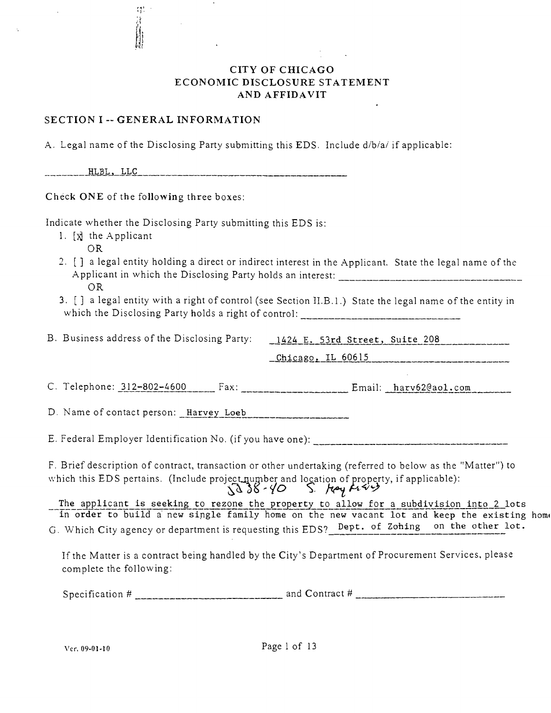## CITY OF CHICAGO ECONOMIC DISCLOSURE STATEMENT AND AFFIDAVIT

#### SECTION I -- GENERAL INFORMATION

中音期

.A. Legal name ofthe Disclosing Party submitting this EDS. Include d/b/a/ if applicable:

.HLBL\_,\_LLC

Check ONE of the following three boxes:

Indicate whether the Disclosing Party submitting this EDS is:

- 1. [x] the Applicant
	- OR
- 2. [] a legal entity holding a direct or indirect interest in the Applicant. State the legal name of the .Applicant in which the Disclosing Party holds an interest: OR
- 3. [ ] a legal entity with a right of control (see Section II,B,1,) State the legal name of the entity in which the Disclosing Party holds a right of control:

B. Business address of the Disclosing Party: \_\_1424 E. 53rd Street, Suite 208

 $_\text{Chicago, IL}$  60615

C. Telephone: 312-802-4600 Fax: Fax: Email: harv62@aol.com

D. Name of contact person: Harvey Loeb

E. Federal Employer Identification No. (if you have one):

F. Brief description of contract, transaction or other undertaking (referred to below as the "Matter") to which this EDS pertains. (Include project number and location of property, if applicable):<br> $\sqrt{385}$   $\sqrt{0}$  S.  $\sqrt{24}$ 

The applicant is seeking to rezone the property to allow for a subdivision into 2 lots in order to build a new single family home on the new vacant lot and keep the existing hom< G. Which City agency or department is requesting this EDS? Dept. of Zohing on the other lot.

If the Matter is a contract being handled by the City's Department of Procurement Services, please complete the following:

Specification #  $\frac{1}{2}$  and Contract #  $\frac{1}{2}$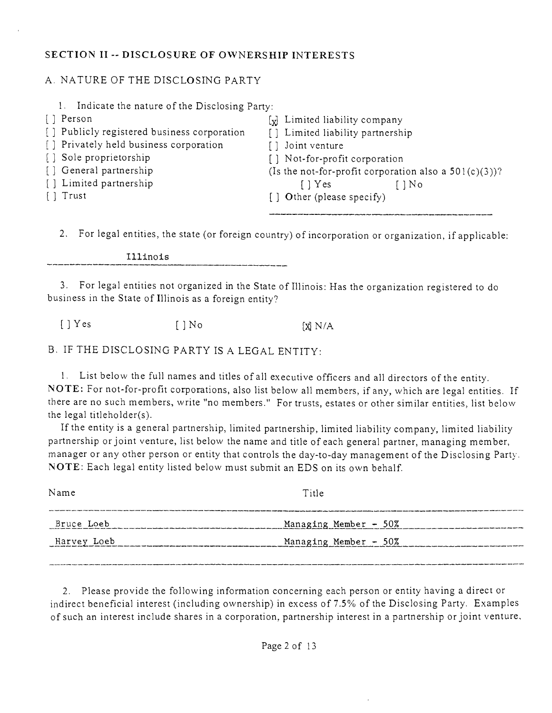## **SECTION II -- DISCLOSURE OF OWNERSHIP INTERESTS**

# A. NATURE OF THE DISCLOSING PARTY

| 1. Indicate the nature of the Disclosing Party:                                                                                      |                                                          |  |  |
|--------------------------------------------------------------------------------------------------------------------------------------|----------------------------------------------------------|--|--|
| [] Person                                                                                                                            | [x] Limited liability company                            |  |  |
| [] Publicly registered business corporation                                                                                          | [] Limited liability partnership                         |  |  |
| [] Privately held business corporation                                                                                               | Joint venture                                            |  |  |
| [] Sole proprietorship                                                                                                               | [] Not-for-profit corporation                            |  |  |
| [] General partnership                                                                                                               | (Is the not-for-profit corporation also a $501(c)(3)$ )? |  |  |
| [] Limited partnership                                                                                                               | $\lceil$   Yes                                           |  |  |
| $\lceil$ Trust                                                                                                                       | [] Other (please specify)                                |  |  |
|                                                                                                                                      |                                                          |  |  |
| $\mathcal{L}$ . Equivalent contribution the state $\mathcal{L}$ of $\mathcal{L}$ is a set of $\mathcal{L}$ is a set of $\mathcal{L}$ |                                                          |  |  |

2, For legal entities, the state (or foreign country) of incorporation or organization, if applicable:

Illinois

3. For legal entities not organized in the State of Illinois: Flas the organization registered to do business in the State of Illinois as a foreign entity?

 $[ ]$  Yes  $[ ]$  No  $[$   $[$   $]$  No  $[$   $[$   $]$  N/A

B. IF THE DISCLOSING PARTY IS A LEGAL ENTITY:

1. List below the full names and titles of all executive officers and all directors ofthe enfity. NOTE: For not-for-profit corporations, also list below all members, if any, which are legal entities. If there are no such members, write "no members." For trusts, estates or other similar entities, list below the legal titleholder(s).

Ifthe entity is a general partnership, limited partnership, limited liability company, limited liability partnership or joint venture, list below the name and title of each general partner, managing member, manager or any other person or entity that controls the day-to-day management of the Disclosing Party. NOTE: Each legal entity listed below must submit an EDS on its own behalf

| Name        | Title                   |
|-------------|-------------------------|
| Bruce Loeb  | Managing Member - 50%   |
| Harvey Loeb | Managing Member $-50\%$ |

2. Please provide the following information concerning each person or entity having a direct or indirect beneficial interest (including ownership) in excess of 7,5% of the Disclosing Party. Examples of such an interest include shares in a corporation, partnership interest in a partnership or joint venture.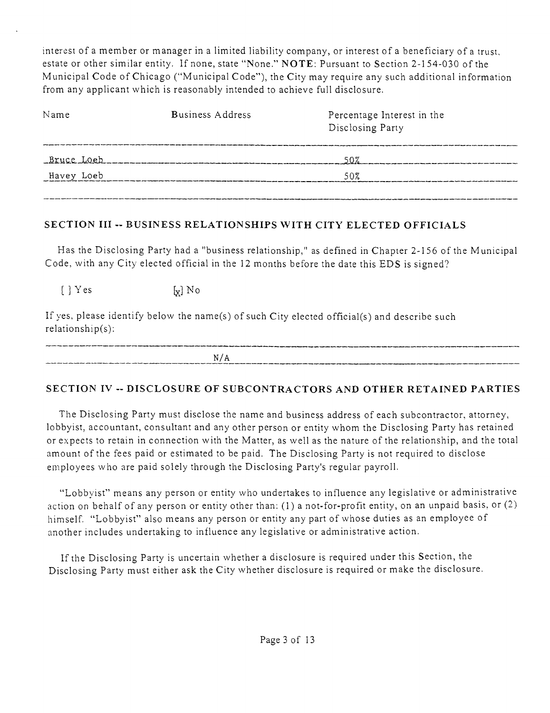interest of a member or manager in a limited liability company, or interest of a beneficiary of a trust, estate or other similar entity, If none, state "None." NOTE: Pursuant to Section 2-154-030 of the Municipal Code of Chicago ("Municipal Code"), the City may require any such additional information from any applicant which is reasonably intended to achieve full disclosure.

| Name       | <b>Business Address</b> | Percentage Interest in the<br>Disclosing Party |  |
|------------|-------------------------|------------------------------------------------|--|
|            | Bruce Loeb              | 50%                                            |  |
| Havey Loeb |                         | 50%                                            |  |
|            |                         |                                                |  |

# **SECTION III - BUSINESS RELATIONSHIPS WITH CITY ELECTED OFFICIALS**

Has the Disclosing Party had a "business relationship," as defined in Chapter 2-156 of the Municipal Code, with any City elected official in the 12 months before the date this EDS is signed?

 $\lbrack \; \rbrack$  Yes  $\lbrack \mathbf{x} \rbrack$  No

If yes, please identify below the name(s) of such City elected official(s) and describe such relationship(s):

| -----                                    |                                                                                                                                                                                                                                |
|------------------------------------------|--------------------------------------------------------------------------------------------------------------------------------------------------------------------------------------------------------------------------------|
| N/<br>-0<br>בת י<br>------<br>__________ | The first state of the first state of the last of the space are seen to an an exclusive of the state of the state of the space of the state of the state of the state of the state of the state of the state of the state of t |

# **SECTION IV - DISCLOSURE OF SUBCONTRACTORS AND OTHER RETAINED PARTIES**

The Disclosing Party must disclose the name and business address of each subcontractor, attorney, lobbyist, accountant, consultant and any other person or entity whom the Disclosing Party has retained or expects to retain in connection with the Matter, as well as the nature of the relationship, and the total amount of the fees paid or estimated to be paid. The Disclosing Party is not required to disclose employees who are paid solely through the Disclosing Party's regular payroll,

"Lobbyist" means any person or entity who undertakes to influence any legislative or administrative action on behalf of any person or entity other than:  $(1)$  a not-for-profit entity, on an unpaid basis, or  $(2)$ himself. "Lobbyist" also means any person or entity any part of whose duties as an employee of another includes undertaking to influence any legislative or administrative action.

If the Disclosing Party is uncertain whether a disclosure is required under this Section, the Disclosing Party must either ask the City whether disclosure is required or make the disclosure.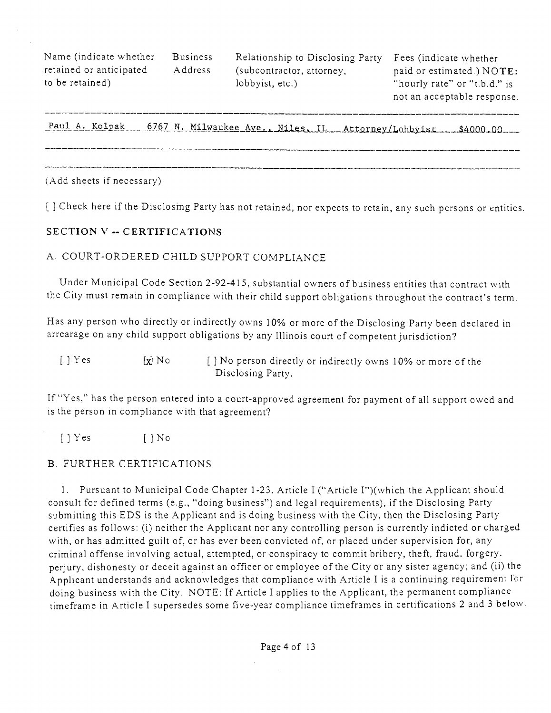Name (indicate whether Business Relationship to Disclosing Party Fees (indicate whether

retained or anticipated  $\qquad$  Address (subcontractor, attorney,  $\qquad$  paid or estimated.) NOTE: to be retained) lobbyist, etc.) "hourly rate" or "t.b.d." is

not an acceptable response.

Paul A. Kolpak 6767 N. Milwaukee Ave., Niles, IL Attorney/Lohbyist 1, \$4000.00

(Add sheets if necessary)

**[ ] Check here if the Disclosmg Party has not retained, nor expects to retain, any such persons or entities.** 

#### **SECTION V - CERTIFICATIONS**

#### A. COURT-ORDERED CHILD SUPPORT COMPLIANCE

Under Municipal Code Section 2-92-415, substantial owners of business entities that contract with the City must remain in compliance with their child support obligations throughout the contract's term.

Has any person who directly or indirectly owns 10% or more ofthe Disclosing Party been declared in arrearage on any child support obligations by any Illinois court of competent jurisdiction?

| $[\ ]$ Y es       | [x] No | [] No person directly or indirectly owns 10% or more of the |
|-------------------|--------|-------------------------------------------------------------|
| Disclosing Party. |        |                                                             |

If "Yes," has the person entered into a court-approved agreement for payment of all support owed and is the person in compliance with that agreement?

 $[$   $]$   $Y$  es  $[$   $]$   $N$  o

## B. FURTHER CERTIFICATIONS

1. Pursuant to Municipal Code Chapter 1-23, Article I ("Article I")(which the Applicant should consult for defined terms (e.g., "doing business") and legal requirements), if the Disclosing Party submitting this EDS is the Applicant and is doing business with the City, then the Disclosing Party certifies as follows: (i) neither the Applicant nor any controlling person is currently indicted or charged with, or has admitted guilt of, or has ever been convicted of, or placed under supervision for, any criminal offense involving actual, attempted, or conspiracy to commit bribery, theft, fraud, forgery, perjury, dishonesty or deceit against an officer or employee of the City or any sister agency; and (ii) the .Applicant understands and acknowledges that compliance with Article I is a continuing requirement lor doing business with the City. NOTE: If Article I applies to the Applicant, the permanent compliance timeframe in Article I supersedes some five-year compliance timeframes in certifications 2 and 3 below.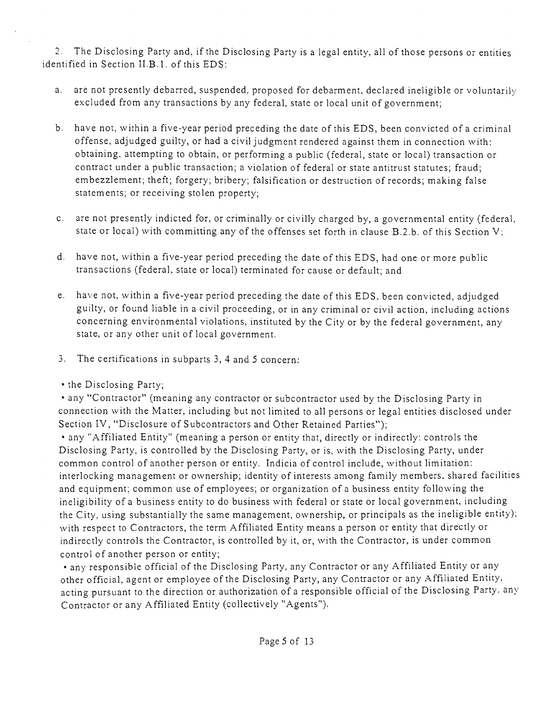2. The Disclosing Party and, if the Disclosing Party is a legal entity, all of those persons or entities identified in Section II.B. 1. of this EDS:

- a. are not presently debarred, suspended, proposed for debarment, declared ineligible or voluntarily excluded from any transactions by any federal, state or local unit of government;
- b. have not, within a five-year period preceding the date of this EDS, been convicted of a criminal offense, adjudged guilty, or had a civil judgment rendered against them in connection with: obtaining, attempting to obtain, or performing a public (federal, state or local) transaction or contract under a public transaction; a violation of federal or state antitrust statutes; fraud; embezzlement; theft; forgery; bribery; falsification or destruction of records; making false statements; or receiving stolen property;
- c. are not presently indicted for, or criminally or civilly charged by, a governmental entity (federal, state or local) with committing any of the offenses set forth in clause B.2.b. of this Section V;
- d. have not, within a five-year period preceding the date of this EDS, had one or more public transactions (federal, state or local) terminated for cause or default; and
- e. have not, within a five-year period preceding the date of this EDS, been convicted, adjudged guilty, or found liable in a civil proceeding, or in any criminal or civil acfion, including actions concerning environmental violations, instituted by the City or by the federal government, any state, or any other unit of local government.
- 3. The certifications in subparts 3, 4 and 5 concern;
- the Disclosing Party;

• any "Contractor" (meaning any contractor or subcontractor used by the Disclosing Party in connection with the Matter, including but not limited to all persons or legal entities disclosed under Section IV, "Disclosure of Subcontractors and Other Retained Parties");

• any "Affiliated Entity" (meaning a person or entity that, directly or indirectly: controls the Disclosing Party, is controlled by the Disclosing Party, or is, with the Disclosing Party, under common control of another person or entity. Indicia of control include, without limitation: interlocking management or ownership; identity of interests among family members, shared facilities and equipment; common use of employees; or organization of a business entity following the ineligibility of a business entity to do business with federal or state or local government, including the City, using substantially the same management, ownership, or principals as the ineligible entity); with respect to Contractors, the term Affiliated Entity means a person or entity that directly or indirectly controls the Contractor, is controlled by it, or, with the Contractor, is under common control of another person or entity;

• any responsible official of the Disclosing Party, any Contractor or any Affiliated Entity or any other official, agent or employee of the Disclosing Party, any Contractor or any Affiliated Entity, acting pursuant to the direction or authorization of a responsible official of the Disclosing Party, any Contractor or any Affiliated Entity (collectively "Agents").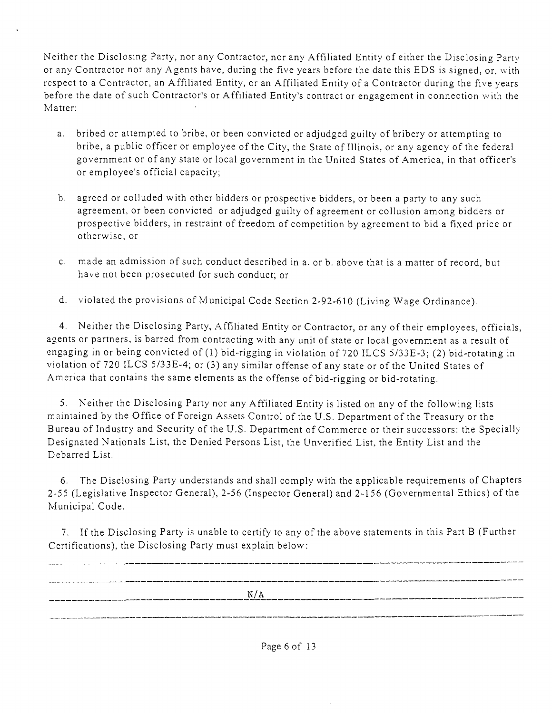Neither the Disclosing Party, nor any Contractor, nor any Affiliated Entity of either the Disclosing Party or any Contractor nor any Agents have, during the five years before the date this EDS is signed, or, with respect to a Contractor, an Affiliated Entity, or an Affiliated Entity of a Contractor during the five years before the date of such Contractor's or Affiliated Entity's contract or engagement in connection with the Matter:

- a. bribed or attempted to bribe, or been convicted or adjudged guilty of bribery or attempting to bribe, a public officer or employee of the City, the State of Illinois, or any agency of the federal government or of any state or local government in the United States of America, in that officer's or employee's official capacity;
- b. agreed or colluded with other bidders or prospective bidders, or been a party to any such agreement, or been convicted or adjudged guilty of agreement or collusion among bidders or prospective bidders, in restraint of freedom of competition by agreement to bid a fixed price or otherwise; or
- c. made an admission of such conduct described in a. or b. above that is a matter of record, but have not been prosecuted for such conduct; or
- d. violated the provisions of Municipal Code Section 2-92-610 (Living Wage Ordinance),

4. Neither the Disclosing Party, Affiliated Entity or Contractor, or any of their employees, officials, agents or partners, is barred from contracting with any unit of state or local government as a result of engaging in or being convicted of (1) bid-rigging in violation of 720 ILCS 5/33E-3; (2) bid-rotating in violation of 720 ILCS 5/33E-4; or (3) any similar offense of any state or of the United States of .America that contains the same elements as the offense of bid-rigging or bid-rotating,

5, Neither the Disclosing Party nor any Affiliated Entity is listed on any of the following lists maintained by the Office of Foreign Assets Control of the U.S. Department of the Treasury or the Bureau of Industry and Security of the U,S, Department of Commerce or their successors: the Specially Designated Nationals List, the Denied Persons List, the Unverified List, the Entity List and the Debarred List,

6. The Disclosing Party understands and shall comply with the applicable requirements of Chapters 2-55 (Legislative Inspector General), 2-56 (Inspector General) and 2-156 (Governmental Ethics) of the Municipal Code.

7, If the Disclosing Party is unable to certify to any ofthe above statements in this Part B (Further Certifications), the Disclosing Party must explain below:

| N/A |
|-----|
|     |
|     |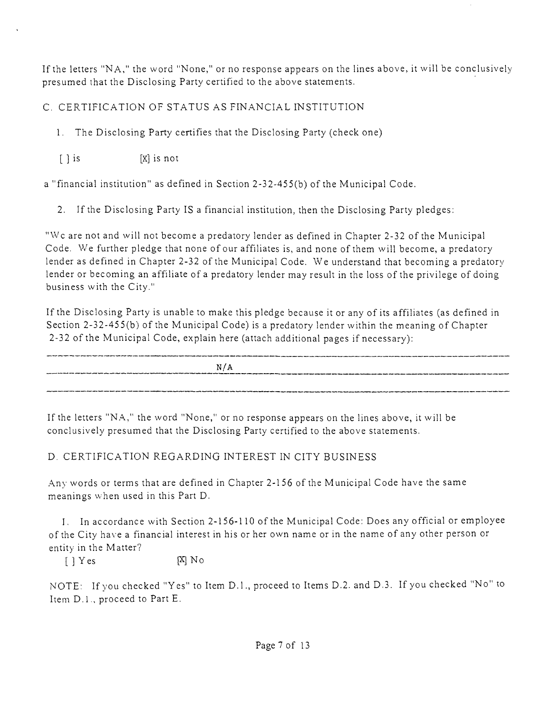If the letters "N A, " the word "None," or no response appears on the lines above, it will be conclusively presumed that the Disclosing Party certified to the above statements.

C. CERTIFICATION OF STATUS AS FINANCIAL INSTITUTION

1. The Disclosing Party certifies that the Disclosing Party (check one)

 $[X]$  is  $[X]$  is not

a "financial institution" as defined in Section 2-32-455(b) of the Municipal Code.

2. Ifthe Disclosing Party IS a financial institution, then the Disclosing Party pledges:

"Wc are not and will not become a predatory lender as defined in Chapter 2-32 of the Municipal Code. We further pledge that none of our affiliates is, and none of them will become, a predatory lender as defined in Chapter 2-32 of the Municipal Code. We understand that becoming a predatory lender or becoming an affiliate of a predatory lender may result in the loss of the privilege of doing business with the City."

If the Disclosing Party is unable to make this pledge because it or any of its affiliates (as defined in Section 2-32-455(b) of the Municipal Code) is a predatory lender within the meaning of Chapter 2-32 ofthe Municipal Code, explain here (attach additional pages if necessary):

N/A

If the letters "N.A," the word "None," or no response appears on the lines above, it will be conclusively presumed that the Disclosing Party certified to the above statements.

# D. CERTIFICATION REGARDING INTEREST IN CITY BUSINESS

Any words or terms that are defined in Chapter 2-156 of the Municipal Code have the same meanings when used in this Part D.

I. In accordance with Section 2-156-110 of the Municipal Code: Does any official or employee of the City have a financial interest in his or her own name or in the name of any other person or entity in the Matter?

 $[ ] Yes$   $[ X ] No$ 

NOTE: If you checked "Yes" to Item D.1., proceed to Items D.2. and D.3. If you checked "No" to Item D.l. , proceed to Part E.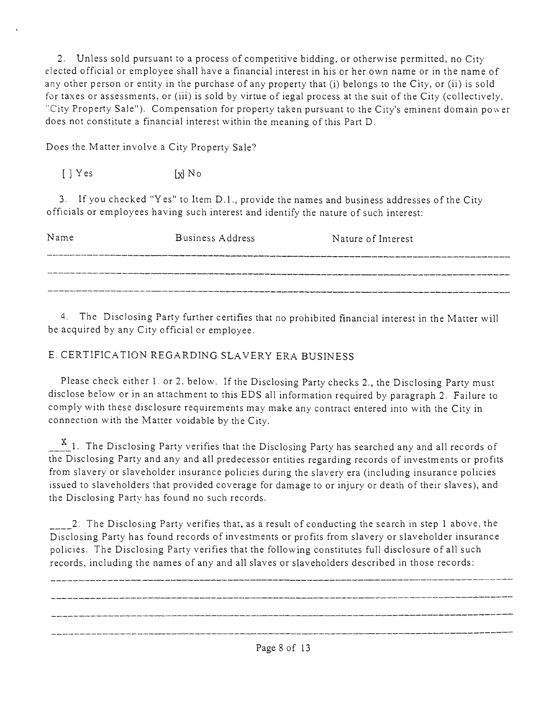2. Unless sold pursuant to a process of competitive bidding, or otherwise permitted, no City elected official or employee shall have a financial interest in his or her own name or in the name of any other person or entity in the purchase of any property that (i) belongs to the City, or (ii) is sold for taxes or assessments, or (iii) is sold by virtue of iegal process at the suit of the City (collectively, "City Property Sale"). Compensation for property taken pursuant to the City's eminent domain power does not constitute a financial interest within the meaning of this Part D.

Does the Matter involve a City Property Sale?

 $[$   $]$   $Y$  es  $[x]$   $N$  o

3. If you checked "Yes" to Item D.l. , provide the names and business addresses of the City officials or employees having such interest and identify the nature of such interest:

| Name | Business Address | Nature of Interest |
|------|------------------|--------------------|
|      |                  |                    |
|      |                  |                    |
|      |                  |                    |

4. The Disclosing Party further certifies that no prohibited financial interest in the Matter will be acquired by any City official or employee.

# E. CERTIFICATION REGARDING SLAVERY ERA BUSINESS

Please check either 1. or 2. below. If the Disclosing Party checks 2,, the Disclosing Party must disclose below or in an attachment to this EDS all information required by paragraph 2. Failure to comply with these disclosure requirements may make any contract entered into with the City in connection with the Matter voidable by the City.

 $\frac{\texttt{X}}{\texttt{X}}$ 1. The Disclosing Party verifies that the Disclosing Party has searched any and all records of the Disclosing Party and any and all predecessor entities regarding records of investments or profits from slavery or slaveholder insurance policies during the slavery era (including insurance policies issued to slaveholders that provided coverage for damage to or injury or death of their slaves), and the Disclosing Party has found no such records.

2. The Disclosing Party verifies that, as a result of conducting the search in step 1 above, the Disclosing Party has found records of investments or profits from slavery or slaveholder insurance policies. The Disclosing Party verifies that the following constitutes full disclosure of all such records, including the names of any and all slaves or slaveholders described in those records:

-------------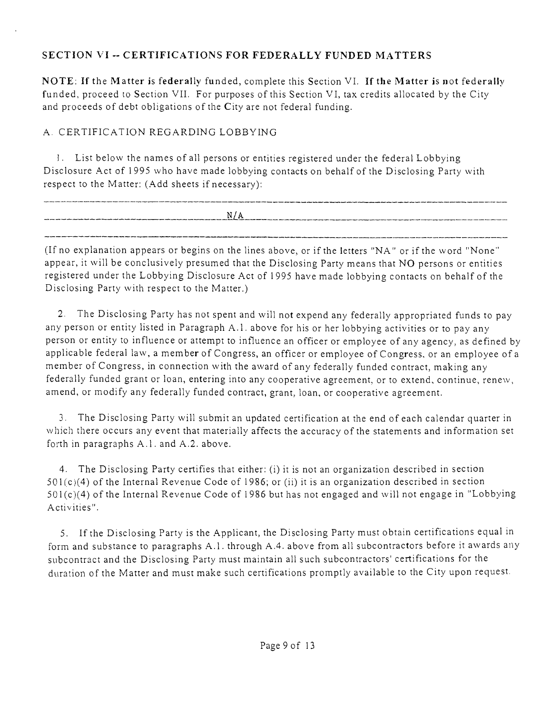# **SECTION VI - CERTIFICATIONS FOR FEDERALLY FUNDED MATTERS**

NOTE: If the Matter is federally funded, complete this Section VI. If the Matter is not federally funded, proceed to Section VII. For purposes of this Section VI, tax credits allocated by the City and proceeds of debt obligations of the City are not federal funding.

# A. CERTIFICATION REGARDING LOBBYING

!. List below the names of all persons or entities registered under the federal Lobbying Disclosure Act of 1995 who have made lobbying contacts on behalf of the Disclosing Party with respect to the Matter: (Add sheets if necessary):

| ____                                                                                                          |               | ______                                               |
|---------------------------------------------------------------------------------------------------------------|---------------|------------------------------------------------------|
| dental continue and continue through collection and the continue continue of the collection of the collection | N/4<br>$\sim$ | المالي المسالا بالألف الموارد بلقب<br>______________ |
|                                                                                                               |               |                                                      |

(If no explanation appears or begins on the lines above, or if the letters "NA" or if the word "None" appear, it will be conclusively presumed that the Disclosing Party means that NO persons or entities registered under the Lobbying Disclosure Act of 1995 have made lobbying contacts on behalf of the Disclosing Party with respect to the Matter.)

2. The Disclosing Party has not spent and will not expend any federally appropriated funds to pay any person or entity listed in Paragraph A.1. above for his or her lobbying activities or to pay any person or entity to influence or attempt to influence an officer or employee of any agency, as defined by applicable federal law, a member of Congress, an officer or employee of Congress, or an employee of a member of Congress, in connection with the award of any federally funded contract, making any federally funded grant or loan, entering into any cooperative agreement, or to extend, continue, renew, amend, or modify any federally funded contract, grant, loan, or cooperative agreement.

3. The Disclosing Party will submit an updated certification al the end of each calendar quarter in which there occurs any event that materially affects the accuracy of the statements and information set forth in paragraphs A.l . and A.2. above.

4. The Disclosing Party certifies that either: (i) it is not an organization described in section 501 (c)(4) of the Internal Revenue Code of 1986; or (ii) it is an organizafion described in section 501 (c)(4) of the Internal Revenue Code of 1986 but has not engaged and will not engage in "Lobbying Activities".

5. If the Disclosing Party is the Applicant, the Disclosing Party must obtain certifications equal in form and substance to paragraphs A.l . through A.4. above from all subcontractors before it awards any subcontract and the Disclosing Party must maintain all such subcontractors' certifications for the dviration of the Matter and must make such certifications promptly available to the City upon request.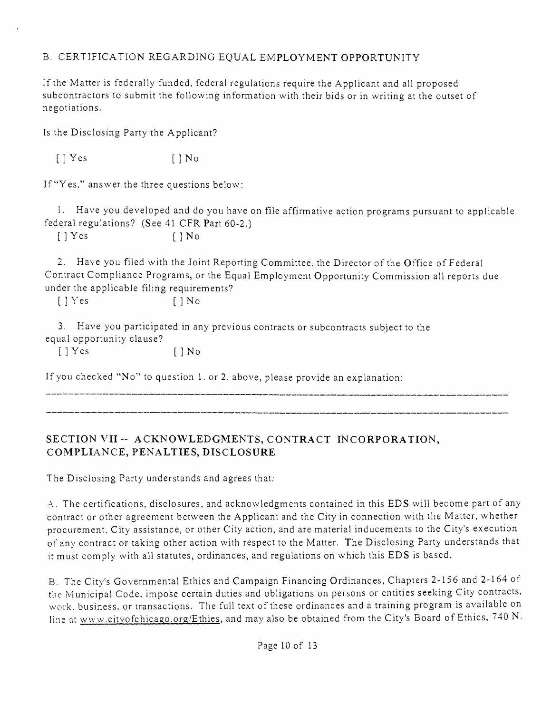# B. CERTIFICATION REGARDING EQUAL EMPLOYMENT OPPORTUNITY

If the Matter is federally funded, federal regulations require the Applicant and all proposed subcontractors to submit the following information with their bids or in writing at the outset of negotiations.

Is the Disclosing Party the Applicant?

 $[$  | Yes  $[$  | No

If "Yes," answer the three questions below:

1. Have you developed and do you have on file affirmative action programs pursuant to applicable federal regulations? (See 41 CFR Part 60-2.)

 $[$   $]$   $Y$ es  $[$   $]$   $N$ o

2. Have you filed with the Joint Reporting Committee, the Director of the Office of Federal Contract Compliance Programs, or the Equal Employment Opportunity Commission all reports due under the applicable filing requirements?

[ ] Yes [ ] No

3. Have you participated in any previous contracts or subcontracts subject to the equal opportunity clause?

 $[$   $]$   $Y$ es  $[$   $]$   $N$ o

If you checked "No" to question 1, or 2, above, please provide an explanation:

# **SECTION VII - ACKNOWLEDGMENTS, CONTRACT INCORPORATION, COMPLIANCE, PENALTIES, DISCLOSURE**

The Disclosing Party understands and agrees that:

A. The certifications, disclosures, and acknowledgments contained in this EDS will become part of any contract or other agreement between the Applicant and the City in connection with the Matter, whether procurement. City assistance, or other City action, and are material inducements to the City's execution ofany contract or taking other action with respect to the Matter. The Disclosing Party understands that it must comply with all statutes, ordinances, and regulations on which this EDS is based.

B. The City's Governmental Ethics and Campaign Financing Ordinances, Chapters 2-156 and 2-164 of the Municipal Code, impose certain duties and obligations on persons or entities seeking City contracts, work, business, or transactions. The full text of these ordinances and a training program is available on line at www.cityofchicago.org/Ethies, and may also be obtained from the City's Board of Ethics, 740 N.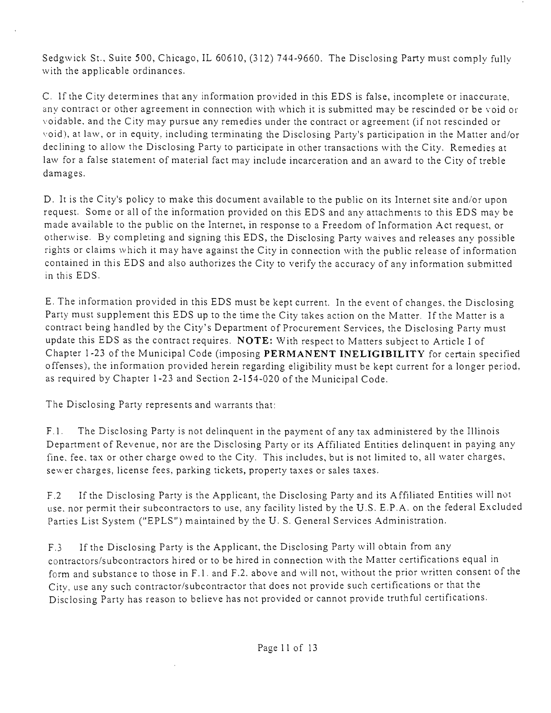Sedgwick St., Suite 500, Chicago, IL 60610, (312) 744-9660, The Disclosing Party must comply fully with the applicable ordinances,

C. 1 f the City determines that any information provided in this EDS is false, incomplete or inaccurate, any contract or other agreement in connection with which it is submitted may be rescinded or be void or voidable, and the City may pursue any remedies under the contract or agreement (if not rescinded or void), at law, or in equity, including terminating the Disclosing Party's participation in the Matter and/or declining to allow the Disclosing Party to participate in other transactions with the City, Remedies at law for a false statement of material fact may include incarceration and an award to the City of treble damages,

D. It is the City's policy to make this document available to the public on its Internet site and/or upon request. Some or all of the information provided on this EDS and any attachments to this EDS may be made available to the public on the Internet, in response to a Freedom of Information Act request, or otherwise. By completing and signing this EDS, the Disclosing Party waives and releases any possible rights or claims which it may have against the City in connection with the public release of information contained in this EDS and also authorizes the City to verify the accuracy of any information submitted in this EDS.

E. The information provided in this EDS must be kept current. In the event of changes, the Disclosing Party must supplement this EDS up to the time the City takes action on the Matter. If the Matter is a contract being handled by the City's Department of Procurement Services, the Disclosing Party must update this EDS as the contract requires. NOTE: With respect to Matters subject to Article I of Chapter 1-23 of the Municipal Code (imposing PERMANENT INELIGIBILITY for certain specified offenses), the information provided herein regarding eligibility must be kept current for a longer period, as required by Chapter 1 -23 and Section 2-1 54-020 of the Municipal Code.

The Disclosing Party represents and warrants that:

F.1. The Disclosing Party is not delinquent in the payment of any tax administered by the Illinois Department of Revenue, nor are the Disclosing Party or its Affiliated Entities delinquent in paying any fine, fee, tax or other charge owed to the City. This includes, but is not limited to, all water charges, sewer charges, license fees, parking tickets, property taxes or sales taxes.

F.2 If the Disclosing Party is the Applicant, the Disclosing Party and its Affiliated Entities will not use. nor permit their subcontractors to use, any facility listed by the U.S. E.P.A, on the federal Excluded Parties List System ("EPLS") maintained by the U.S. General Services Administration.

F.3 If the Disclosing Party is the Applicant, the Disclosing Party will obtain from any contractors/subcontractors hired or to be hired in connection with the Matter certifications equal in form and substance to those in F.1. and F.2, above and will not, without the prior written consent of the City, use any such contractor/subcontractor that does not provide such certifications or that the Disclosing Party has reason to believe has not provided or cannot provide truthful certifications.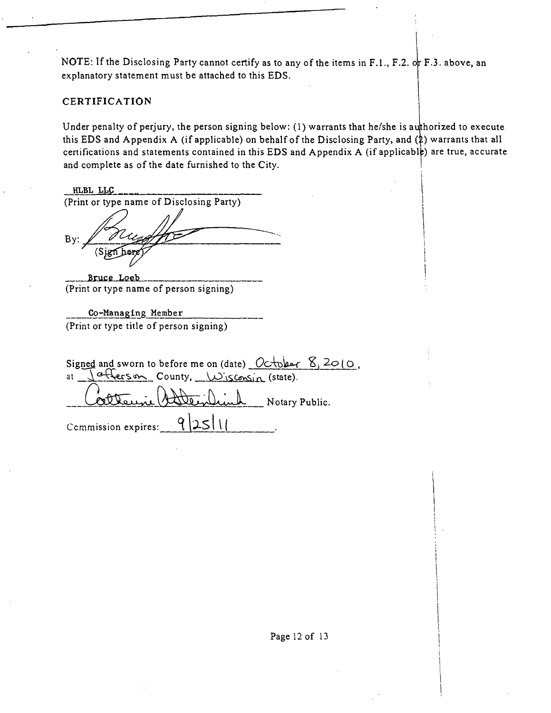NOTE: If the Disclosing Party cannot certify as to any of the items in F.1., F.2. or F.3. above, an explanatory statement must be attached to this EDS.

#### **CERTIFICATION**

Under penalty of perjury, the person signing below: (1) warrants that he/she is authorized to execute this EDS and Appendix A (if applicable) on behalf of the Disclosing Party, and  $(\frac{1}{2})$  warrants that all certifications and statements contained in this EDS and Appendix A (if applicable) are true, accurate and complete as of the date furnished to the City.

HLBL LLC (Print or type name of Disclosing Party)  $By$ :

Bruce Loeb (Print or type name of person signing)

Co-Managing Member (Print or type title of person signing)

Signed and sworn to before me on (date)  $Oct$ ber  $8,2010$ .  $\frac{a+1}{\sqrt{2}}$  County,  $\frac{1}{\sqrt{2}}$  (state). at Notary Public.  $251$ Ccmmission expires: